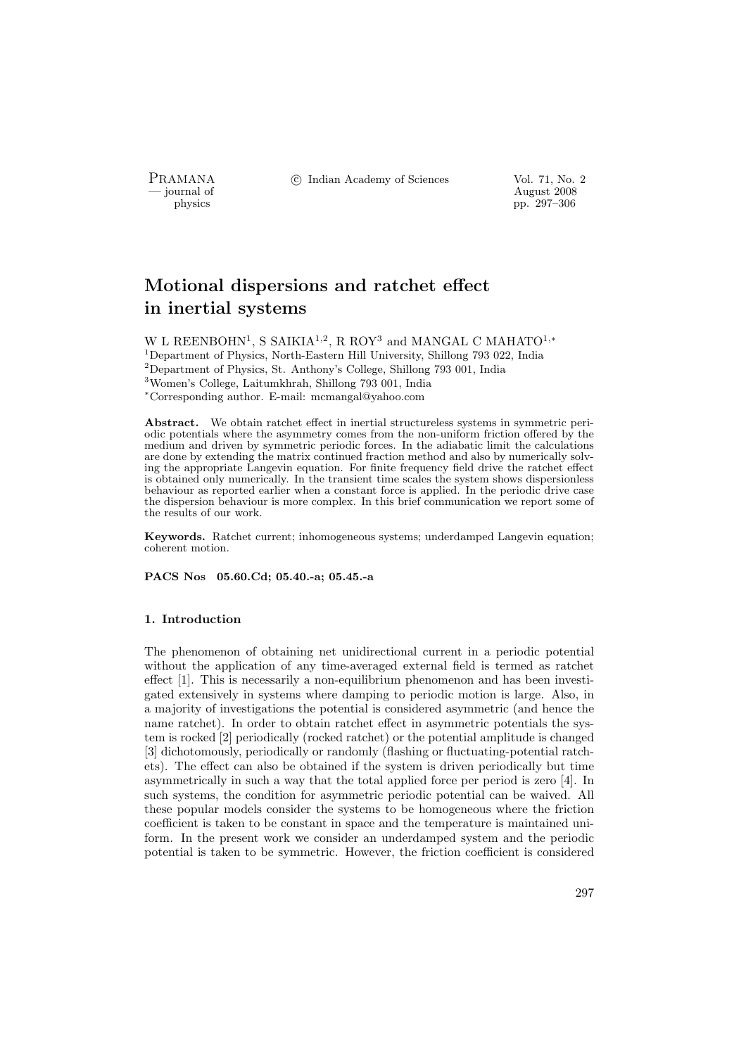PRAMANA <sup>6</sup> © Indian Academy of Sciences Vol. 71, No. 2<br>
— journal of August 2008

position of the contract of the contract of the contract 2008 physics and the contract of the contract 2008 pp. 297–306 physics pp. 297–306

# Motional dispersions and ratchet effect in inertial systems

W L REENBOHN<sup>1</sup>, S SAIKIA<sup>1,2</sup>, R ROY<sup>3</sup> and MANGAL C MAHATO<sup>1,\*</sup> <sup>1</sup>Department of Physics, North-Eastern Hill University, Shillong 793 022, India <sup>2</sup>Department of Physics, St. Anthony's College, Shillong 793 001, India <sup>3</sup>Women's College, Laitumkhrah, Shillong 793 001, India <sup>∗</sup>Corresponding author. E-mail: mcmangal@yahoo.com

Abstract. We obtain ratchet effect in inertial structureless systems in symmetric periodic potentials where the asymmetry comes from the non-uniform friction offered by the medium and driven by symmetric periodic forces. In the adiabatic limit the calculations are done by extending the matrix continued fraction method and also by numerically solving the appropriate Langevin equation. For finite frequency field drive the ratchet effect is obtained only numerically. In the transient time scales the system shows dispersionless behaviour as reported earlier when a constant force is applied. In the periodic drive case the dispersion behaviour is more complex. In this brief communication we report some of the results of our work.

Keywords. Ratchet current; inhomogeneous systems; underdamped Langevin equation; coherent motion.

PACS Nos 05.60.Cd; 05.40.-a; 05.45.-a

## 1. Introduction

The phenomenon of obtaining net unidirectional current in a periodic potential without the application of any time-averaged external field is termed as ratchet effect [1]. This is necessarily a non-equilibrium phenomenon and has been investigated extensively in systems where damping to periodic motion is large. Also, in a majority of investigations the potential is considered asymmetric (and hence the name ratchet). In order to obtain ratchet effect in asymmetric potentials the system is rocked [2] periodically (rocked ratchet) or the potential amplitude is changed [3] dichotomously, periodically or randomly (flashing or fluctuating-potential ratchets). The effect can also be obtained if the system is driven periodically but time asymmetrically in such a way that the total applied force per period is zero [4]. In such systems, the condition for asymmetric periodic potential can be waived. All these popular models consider the systems to be homogeneous where the friction coefficient is taken to be constant in space and the temperature is maintained uniform. In the present work we consider an underdamped system and the periodic potential is taken to be symmetric. However, the friction coefficient is considered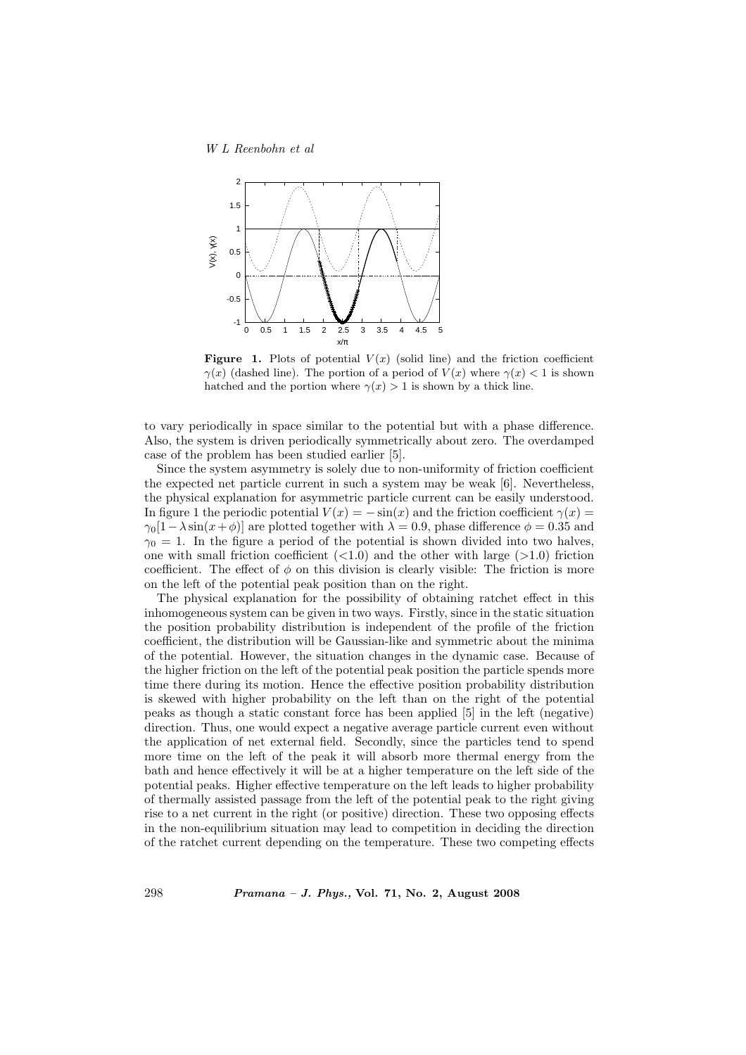

Figure 1. Plots of potential  $V(x)$  (solid line) and the friction coefficient  $\gamma(x)$  (dashed line). The portion of a period of  $V(x)$  where  $\gamma(x) < 1$  is shown hatched and the portion where  $\gamma(x) > 1$  is shown by a thick line.

to vary periodically in space similar to the potential but with a phase difference. Also, the system is driven periodically symmetrically about zero. The overdamped case of the problem has been studied earlier [5].

Since the system asymmetry is solely due to non-uniformity of friction coefficient the expected net particle current in such a system may be weak [6]. Nevertheless, the physical explanation for asymmetric particle current can be easily understood. In figure 1 the periodic potential  $V(x) = -\sin(x)$  and the friction coefficient  $\gamma(x) =$  $\gamma_0[1-\lambda\sin(x+\phi)]$  are plotted together with  $\lambda = 0.9$ , phase difference  $\phi = 0.35$  and  $\gamma_0 = 1$ . In the figure a period of the potential is shown divided into two halves, one with small friction coefficient  $(<1.0$ ) and the other with large  $(>1.0)$  friction coefficient. The effect of  $\phi$  on this division is clearly visible: The friction is more on the left of the potential peak position than on the right.

The physical explanation for the possibility of obtaining ratchet effect in this inhomogeneous system can be given in two ways. Firstly, since in the static situation the position probability distribution is independent of the profile of the friction coefficient, the distribution will be Gaussian-like and symmetric about the minima of the potential. However, the situation changes in the dynamic case. Because of the higher friction on the left of the potential peak position the particle spends more time there during its motion. Hence the effective position probability distribution is skewed with higher probability on the left than on the right of the potential peaks as though a static constant force has been applied [5] in the left (negative) direction. Thus, one would expect a negative average particle current even without the application of net external field. Secondly, since the particles tend to spend more time on the left of the peak it will absorb more thermal energy from the bath and hence effectively it will be at a higher temperature on the left side of the potential peaks. Higher effective temperature on the left leads to higher probability of thermally assisted passage from the left of the potential peak to the right giving rise to a net current in the right (or positive) direction. These two opposing effects in the non-equilibrium situation may lead to competition in deciding the direction of the ratchet current depending on the temperature. These two competing effects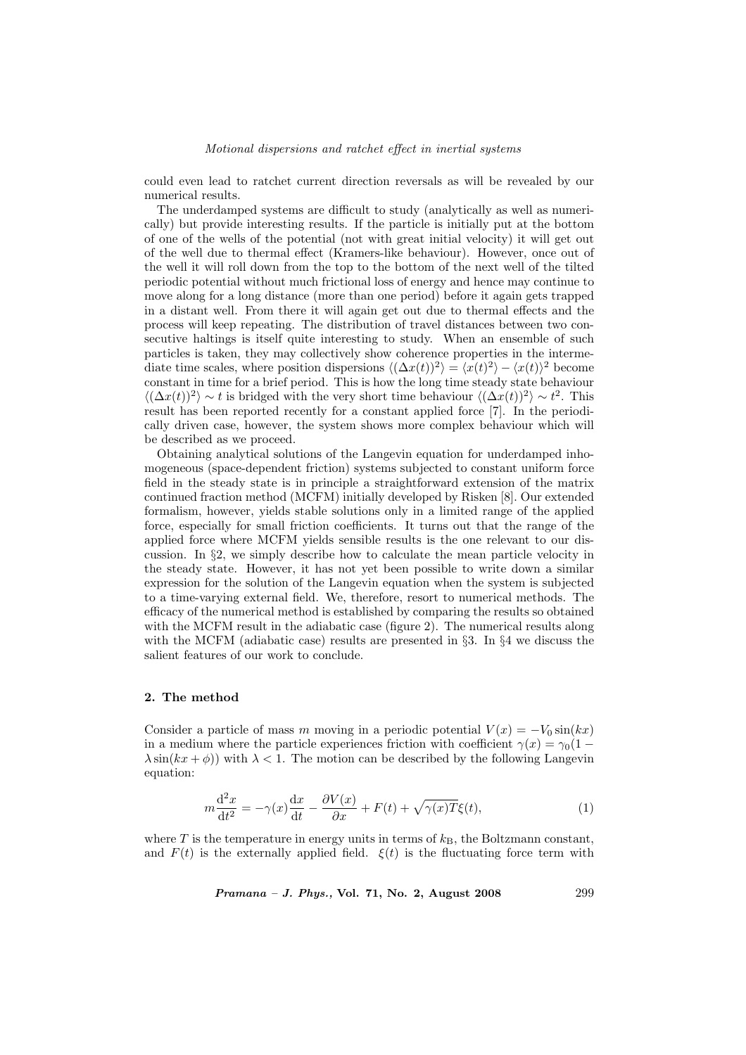#### Motional dispersions and ratchet effect in inertial systems

could even lead to ratchet current direction reversals as will be revealed by our numerical results.

The underdamped systems are difficult to study (analytically as well as numerically) but provide interesting results. If the particle is initially put at the bottom of one of the wells of the potential (not with great initial velocity) it will get out of the well due to thermal effect (Kramers-like behaviour). However, once out of the well it will roll down from the top to the bottom of the next well of the tilted periodic potential without much frictional loss of energy and hence may continue to move along for a long distance (more than one period) before it again gets trapped in a distant well. From there it will again get out due to thermal effects and the process will keep repeating. The distribution of travel distances between two consecutive haltings is itself quite interesting to study. When an ensemble of such particles is taken, they may collectively show coherence properties in the intermediate time scales, where position dispersions  $\langle (\Delta x(t))^2 \rangle = \langle x(t)^2 \rangle - \langle x(t) \rangle^2$  become constant in time for a brief period. This is how the long time steady state behaviour  $\langle (\Delta x(t))^2 \rangle \sim t$  is bridged with the very short time behaviour  $\langle (\Delta x(t))^2 \rangle \sim t^2$ . This result has been reported recently for a constant applied force [7]. In the periodically driven case, however, the system shows more complex behaviour which will be described as we proceed.

Obtaining analytical solutions of the Langevin equation for underdamped inhomogeneous (space-dependent friction) systems subjected to constant uniform force field in the steady state is in principle a straightforward extension of the matrix continued fraction method (MCFM) initially developed by Risken [8]. Our extended formalism, however, yields stable solutions only in a limited range of the applied force, especially for small friction coefficients. It turns out that the range of the applied force where MCFM yields sensible results is the one relevant to our discussion. In §2, we simply describe how to calculate the mean particle velocity in the steady state. However, it has not yet been possible to write down a similar expression for the solution of the Langevin equation when the system is subjected to a time-varying external field. We, therefore, resort to numerical methods. The efficacy of the numerical method is established by comparing the results so obtained with the MCFM result in the adiabatic case (figure 2). The numerical results along with the MCFM (adiabatic case) results are presented in §3. In §4 we discuss the salient features of our work to conclude.

### 2. The method

Consider a particle of mass m moving in a periodic potential  $V(x) = -V_0 \sin(kx)$ in a medium where the particle experiences friction with coefficient  $\gamma(x) = \gamma_0(1 \lambda \sin(kx + \phi)$ ) with  $\lambda < 1$ . The motion can be described by the following Langevin equation:

$$
m\frac{\mathrm{d}^2x}{\mathrm{d}t^2} = -\gamma(x)\frac{\mathrm{d}x}{\mathrm{d}t} - \frac{\partial V(x)}{\partial x} + F(t) + \sqrt{\gamma(x)T}\xi(t),\tag{1}
$$

where T is the temperature in energy units in terms of  $k_B$ , the Boltzmann constant, and  $F(t)$  is the externally applied field.  $\xi(t)$  is the fluctuating force term with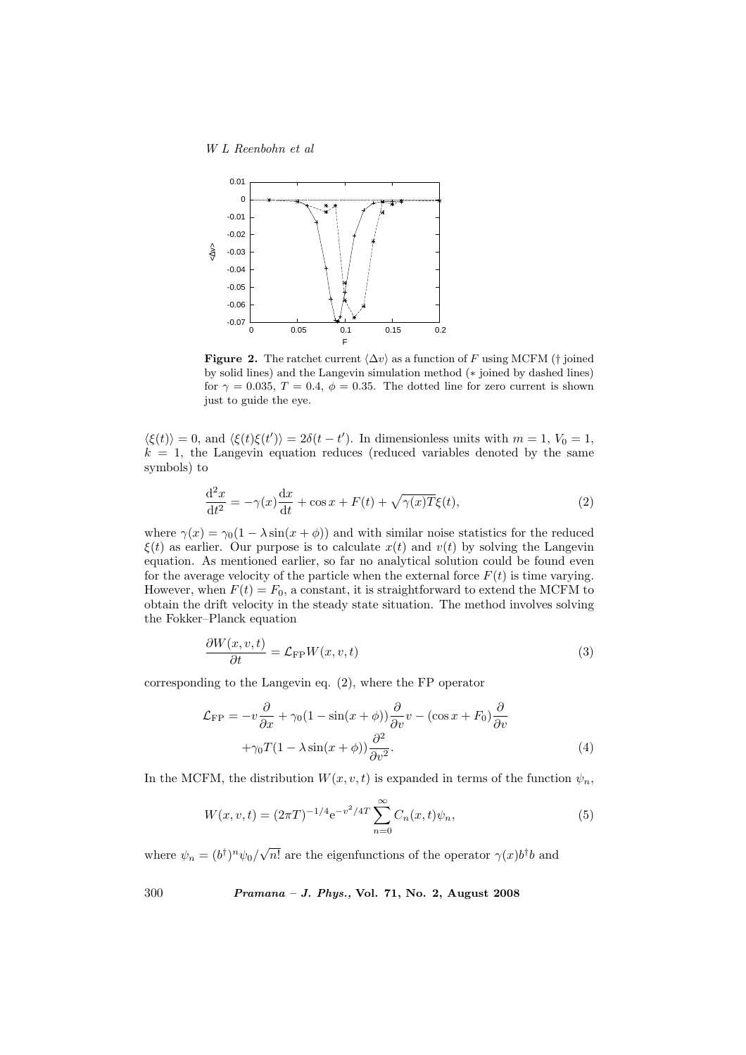

Figure 2. The ratchet current  $\langle \Delta v \rangle$  as a function of F using MCFM († joined by solid lines) and the Langevin simulation method (∗ joined by dashed lines) for  $\gamma = 0.035$ ,  $T = 0.4$ ,  $\phi = 0.35$ . The dotted line for zero current is shown just to guide the eye.

 $\langle \xi(t) \rangle = 0$ , and  $\langle \xi(t) \xi(t') \rangle = 2\delta(t - t')$ . In dimensionless units with  $m = 1, V_0 = 1$ ,  $k = 1$ , the Langevin equation reduces (reduced variables denoted by the same symbols) to

$$
\frac{\mathrm{d}^2x}{\mathrm{d}t^2} = -\gamma(x)\frac{\mathrm{d}x}{\mathrm{d}t} + \cos x + F(t) + \sqrt{\gamma(x)T}\xi(t),\tag{2}
$$

where  $\gamma(x) = \gamma_0(1 - \lambda \sin(x + \phi))$  and with similar noise statistics for the reduced  $\xi(t)$  as earlier. Our purpose is to calculate  $x(t)$  and  $v(t)$  by solving the Langevin equation. As mentioned earlier, so far no analytical solution could be found even for the average velocity of the particle when the external force  $F(t)$  is time varying. However, when  $F(t) = F_0$ , a constant, it is straightforward to extend the MCFM to obtain the drift velocity in the steady state situation. The method involves solving the Fokker–Planck equation

$$
\frac{\partial W(x, v, t)}{\partial t} = \mathcal{L}_{\text{FP}} W(x, v, t)
$$
\n(3)

corresponding to the Langevin eq. (2), where the FP operator

$$
\mathcal{L}_{\rm FP} = -v \frac{\partial}{\partial x} + \gamma_0 (1 - \sin(x + \phi)) \frac{\partial}{\partial v} v - (\cos x + F_0) \frac{\partial}{\partial v} \n+ \gamma_0 T (1 - \lambda \sin(x + \phi)) \frac{\partial^2}{\partial v^2}.
$$
\n(4)

In the MCFM, the distribution  $W(x, v, t)$  is expanded in terms of the function  $\psi_n$ ,

$$
W(x, v, t) = (2\pi T)^{-1/4} e^{-v^2/4T} \sum_{n=0}^{\infty} C_n(x, t) \psi_n,
$$
\n(5)

where  $\psi_n = (b^{\dagger})^n \psi_0 / \sqrt{\frac{\mu_n}{n}}$  $\overline{n!}$  are the eigenfunctions of the operator  $\gamma(x)b^{\dagger}b$  and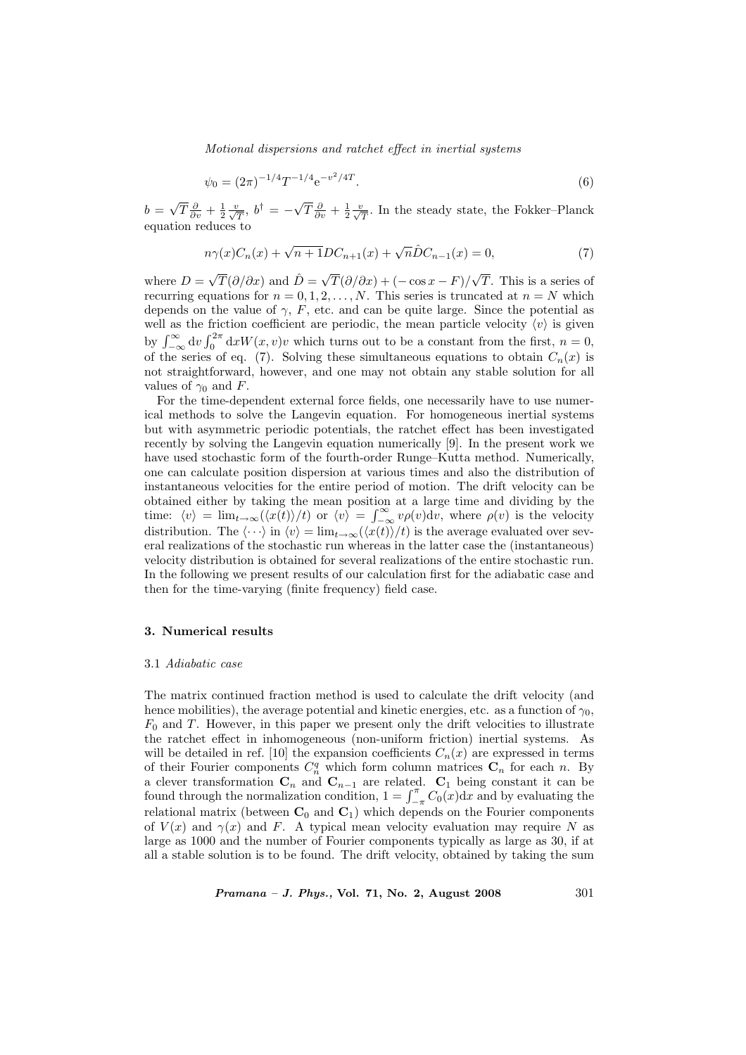Motional dispersions and ratchet effect in inertial systems

$$
\psi_0 = (2\pi)^{-1/4} T^{-1/4} e^{-v^2/4T}.
$$
\n(6)

 $b =$ √  $\overline{T}\frac{\partial}{\partial v} + \frac{1}{2}\frac{v}{\sqrt{T}}, b^{\dagger} = -\sqrt{T}$  $\overline{T}\frac{\partial}{\partial v} + \frac{1}{2}\frac{v}{\sqrt{T}}$ . In the steady state, the Fokker–Planck equation reduces to

$$
n\gamma(x)C_n(x) + \sqrt{n+1}DC_{n+1}(x) + \sqrt{n}\hat{D}C_{n-1}(x) = 0,
$$
\n(7)

where  $D =$  $\sqrt{T}(\partial/\partial x)$  and  $\hat{D} = \sqrt{2}$  $T(\partial/\partial x) + (-\cos x - F)$ √ T. This is a series of recurring equations for  $n = 0, 1, 2, \ldots, N$ . This series is truncated at  $n = N$  which depends on the value of  $\gamma$ , F, etc. and can be quite large. Since the potential as well as the friction coefficient are periodic, the mean particle velocity  $\langle v \rangle$  is given went as the<br>by  $\int_{-\infty}^{\infty} dv$  $\frac{11}{r^2}$  $\int_0^{2\pi} dx W(x, v)v$  which turns out to be a constant from the first,  $n = 0$ , of the series of eq. (7). Solving these simultaneous equations to obtain  $C_n(x)$  is not straightforward, however, and one may not obtain any stable solution for all values of  $\gamma_0$  and F.

For the time-dependent external force fields, one necessarily have to use numerical methods to solve the Langevin equation. For homogeneous inertial systems but with asymmetric periodic potentials, the ratchet effect has been investigated recently by solving the Langevin equation numerically [9]. In the present work we have used stochastic form of the fourth-order Runge–Kutta method. Numerically, one can calculate position dispersion at various times and also the distribution of instantaneous velocities for the entire period of motion. The drift velocity can be obtained either by taking the mean position at a large time and dividing by the obtained either by taking the mean position<br>time:  $\langle v \rangle = \lim_{t \to \infty} (\langle x(t) \rangle / t)$  or  $\langle v \rangle = \int_{-\infty}^{\infty}$  $\int_{-\infty}^{\infty} v \rho(v) \, \mathrm{d}v$ , where  $\rho(v)$  is the velocity distribution. The  $\langle \cdots \rangle$  in  $\langle v \rangle = \lim_{t \to \infty} (\langle x(t) \rangle / t)$  is the average evaluated over several realizations of the stochastic run whereas in the latter case the (instantaneous) velocity distribution is obtained for several realizations of the entire stochastic run. In the following we present results of our calculation first for the adiabatic case and then for the time-varying (finite frequency) field case.

#### 3. Numerical results

#### 3.1 Adiabatic case

The matrix continued fraction method is used to calculate the drift velocity (and hence mobilities), the average potential and kinetic energies, etc. as a function of  $\gamma_0$ ,  $F_0$  and T. However, in this paper we present only the drift velocities to illustrate the ratchet effect in inhomogeneous (non-uniform friction) inertial systems. As will be detailed in ref. [10] the expansion coefficients  $C_n(x)$  are expressed in terms of their Fourier components  $C_n^q$  which form column matrices  $\mathbf{C}_n$  for each n. By a clever transformation  $\mathbf{C}_n$  and  $\mathbf{C}_{n-1}$  are related.  $\mathbf{C}_1$  being constant it can be found through the normalization condition,  $1 = \int_{-\pi}^{\pi} C_0(x) dx$  and by evaluating the relational matrix (between  $C_0$  and  $C_1$ ) which depends on the Fourier components of  $V(x)$  and  $\gamma(x)$  and F. A typical mean velocity evaluation may require N as large as 1000 and the number of Fourier components typically as large as 30, if at all a stable solution is to be found. The drift velocity, obtained by taking the sum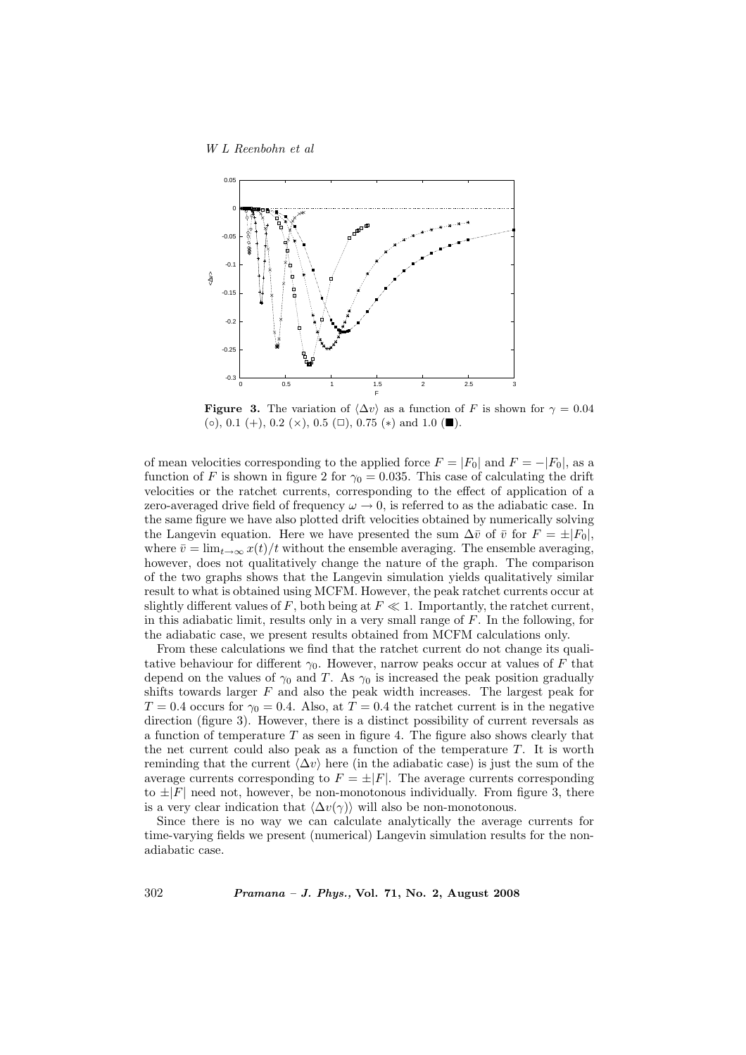W L Reenbohn et al



**Figure 3.** The variation of  $\langle \Delta v \rangle$  as a function of F is shown for  $\gamma = 0.04$  $(∘), 0.1 (+), 0.2 (×), 0.5 (□), 0.75 (*)$  and 1.0 (■).

of mean velocities corresponding to the applied force  $F = |F_0|$  and  $F = -|F_0|$ , as a function of F is shown in figure 2 for  $\gamma_0 = 0.035$ . This case of calculating the drift velocities or the ratchet currents, corresponding to the effect of application of a zero-averaged drive field of frequency  $\omega \to 0$ , is referred to as the adiabatic case. In the same figure we have also plotted drift velocities obtained by numerically solving the Langevin equation. Here we have presented the sum  $\Delta \bar{v}$  of  $\bar{v}$  for  $F = \pm |F_0|$ , where  $\bar{v} = \lim_{t\to\infty} x(t)/t$  without the ensemble averaging. The ensemble averaging, however, does not qualitatively change the nature of the graph. The comparison of the two graphs shows that the Langevin simulation yields qualitatively similar result to what is obtained using MCFM. However, the peak ratchet currents occur at slightly different values of F, both being at  $F \ll 1$ . Importantly, the ratchet current, in this adiabatic limit, results only in a very small range of F. In the following, for the adiabatic case, we present results obtained from MCFM calculations only.

From these calculations we find that the ratchet current do not change its qualitative behaviour for different  $\gamma_0$ . However, narrow peaks occur at values of F that depend on the values of  $\gamma_0$  and T. As  $\gamma_0$  is increased the peak position gradually shifts towards larger  $F$  and also the peak width increases. The largest peak for  $T = 0.4$  occurs for  $\gamma_0 = 0.4$ . Also, at  $T = 0.4$  the ratchet current is in the negative direction (figure 3). However, there is a distinct possibility of current reversals as a function of temperature  $T$  as seen in figure 4. The figure also shows clearly that the net current could also peak as a function of the temperature  $T$ . It is worth reminding that the current  $\langle \Delta v \rangle$  here (in the adiabatic case) is just the sum of the average currents corresponding to  $F = \pm |F|$ . The average currents corresponding to  $\pm|F|$  need not, however, be non-monotonous individually. From figure 3, there is a very clear indication that  $\langle \Delta v(\gamma) \rangle$  will also be non-monotonous.

Since there is no way we can calculate analytically the average currents for time-varying fields we present (numerical) Langevin simulation results for the nonadiabatic case.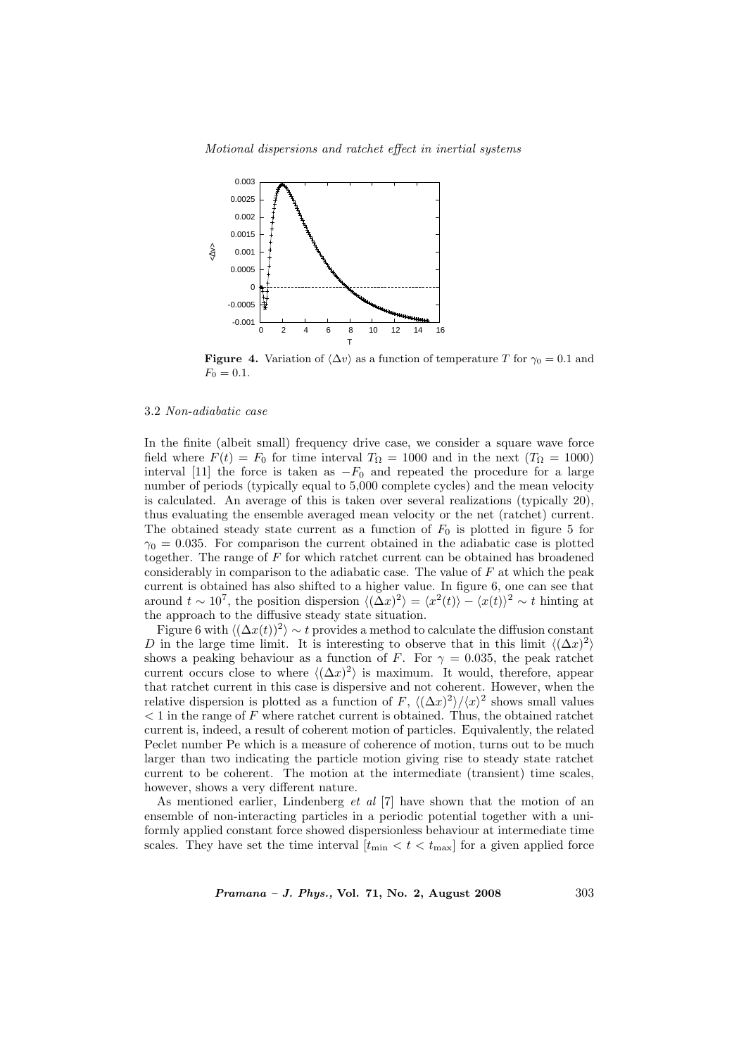Motional dispersions and ratchet effect in inertial systems



**Figure 4.** Variation of  $\langle \Delta v \rangle$  as a function of temperature T for  $\gamma_0 = 0.1$  and  $F_0 = 0.1.$ 

## 3.2 Non-adiabatic case

In the finite (albeit small) frequency drive case, we consider a square wave force field where  $F(t) = F_0$  for time interval  $T_{\Omega} = 1000$  and in the next  $(T_{\Omega} = 1000)$ interval [11] the force is taken as  $-F_0$  and repeated the procedure for a large number of periods (typically equal to 5,000 complete cycles) and the mean velocity is calculated. An average of this is taken over several realizations (typically 20), thus evaluating the ensemble averaged mean velocity or the net (ratchet) current. The obtained steady state current as a function of  $F_0$  is plotted in figure 5 for  $\gamma_0 = 0.035$ . For comparison the current obtained in the adiabatic case is plotted together. The range of  $F$  for which ratchet current can be obtained has broadened considerably in comparison to the adiabatic case. The value of  $F$  at which the peak current is obtained has also shifted to a higher value. In figure 6, one can see that around  $t \sim 10^7$ , the position dispersion  $\langle (\Delta x)^2 \rangle = \langle x^2(t) \rangle - \langle x(t) \rangle^2 \sim t$  hinting at the approach to the diffusive steady state situation.

Figure 6 with  $\langle (\Delta x(t))^2 \rangle \sim t$  provides a method to calculate the diffusion constant D in the large time limit. It is interesting to observe that in this limit  $\langle (\Delta x)^2 \rangle$ shows a peaking behaviour as a function of F. For  $\gamma = 0.035$ , the peak ratchet current occurs close to where  $\langle (\Delta x)^2 \rangle$  is maximum. It would, therefore, appear that ratchet current in this case is dispersive and not coherent. However, when the relative dispersion is plotted as a function of F,  $\langle (\Delta x)^2 \rangle / \langle x \rangle^2$  shows small values  $< 1$  in the range of  $F$  where ratchet current is obtained. Thus, the obtained ratchet current is, indeed, a result of coherent motion of particles. Equivalently, the related Peclet number Pe which is a measure of coherence of motion, turns out to be much larger than two indicating the particle motion giving rise to steady state ratchet current to be coherent. The motion at the intermediate (transient) time scales, however, shows a very different nature.

As mentioned earlier, Lindenberg et al [7] have shown that the motion of an ensemble of non-interacting particles in a periodic potential together with a uniformly applied constant force showed dispersionless behaviour at intermediate time scales. They have set the time interval  $[t_{\min} < t < t_{\max}]$  for a given applied force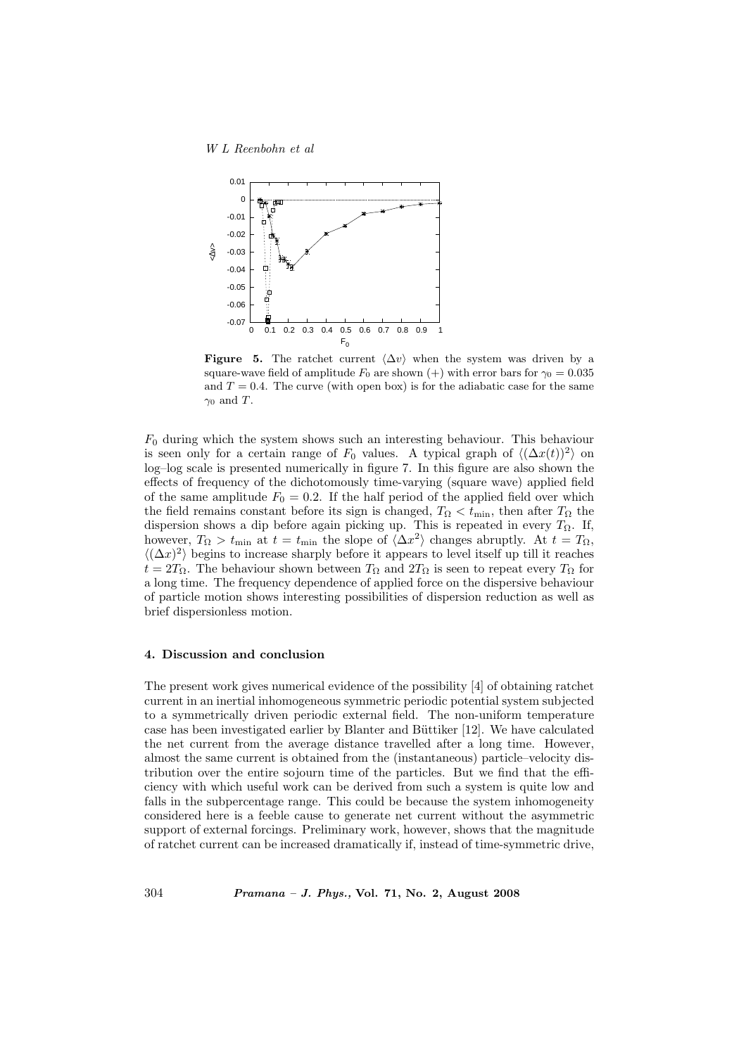

Figure 5. The ratchet current  $\langle \Delta v \rangle$  when the system was driven by a square-wave field of amplitude  $F_0$  are shown (+) with error bars for  $\gamma_0 = 0.035$ and  $T = 0.4$ . The curve (with open box) is for the adiabatic case for the same  $\gamma_0$  and T.

 $F_0$  during which the system shows such an interesting behaviour. This behaviour is seen only for a certain range of  $F_0$  values. A typical graph of  $\langle (\Delta x(t))^2 \rangle$  on log–log scale is presented numerically in figure 7. In this figure are also shown the effects of frequency of the dichotomously time-varying (square wave) applied field of the same amplitude  $F_0 = 0.2$ . If the half period of the applied field over which the field remains constant before its sign is changed,  $T_{\Omega} < t_{\min}$ , then after  $T_{\Omega}$  the dispersion shows a dip before again picking up. This is repeated in every  $T_{\Omega}$ . If, however,  $T_{\Omega} > t_{\min}$  at  $t = t_{\min}$  the slope of  $\langle \Delta x^2 \rangle$  changes abruptly. At  $t = T_{\Omega}$ ,  $\langle (\Delta x)^2 \rangle$  begins to increase sharply before it appears to level itself up till it reaches  $t = 2T_{\Omega}$ . The behaviour shown between  $T_{\Omega}$  and  $2T_{\Omega}$  is seen to repeat every  $T_{\Omega}$  for a long time. The frequency dependence of applied force on the dispersive behaviour of particle motion shows interesting possibilities of dispersion reduction as well as brief dispersionless motion.

### 4. Discussion and conclusion

The present work gives numerical evidence of the possibility [4] of obtaining ratchet current in an inertial inhomogeneous symmetric periodic potential system subjected to a symmetrically driven periodic external field. The non-uniform temperature case has been investigated earlier by Blanter and Büttiker [12]. We have calculated the net current from the average distance travelled after a long time. However, almost the same current is obtained from the (instantaneous) particle–velocity distribution over the entire sojourn time of the particles. But we find that the efficiency with which useful work can be derived from such a system is quite low and falls in the subpercentage range. This could be because the system inhomogeneity considered here is a feeble cause to generate net current without the asymmetric support of external forcings. Preliminary work, however, shows that the magnitude of ratchet current can be increased dramatically if, instead of time-symmetric drive,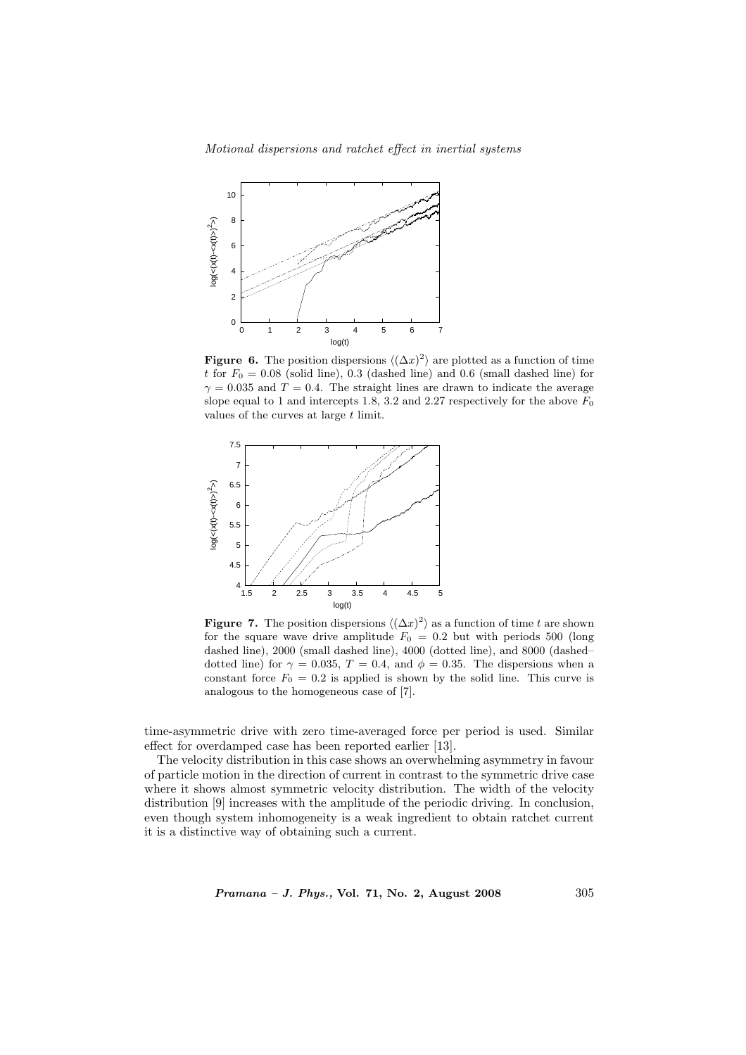Motional dispersions and ratchet effect in inertial systems



**Figure 6.** The position dispersions  $\langle (\Delta x)^2 \rangle$  are plotted as a function of time t for  $F_0 = 0.08$  (solid line), 0.3 (dashed line) and 0.6 (small dashed line) for  $\gamma = 0.035$  and  $T = 0.4$ . The straight lines are drawn to indicate the average slope equal to 1 and intercepts 1.8, 3.2 and 2.27 respectively for the above  $F_0$ values of the curves at large t limit.



**Figure 7.** The position dispersions  $\langle (\Delta x)^2 \rangle$  as a function of time t are shown for the square wave drive amplitude  $F_0 = 0.2$  but with periods 500 (long dashed line), 2000 (small dashed line), 4000 (dotted line), and 8000 (dashed– dotted line) for  $\gamma = 0.035$ ,  $T = 0.4$ , and  $\phi = 0.35$ . The dispersions when a constant force  $F_0 = 0.2$  is applied is shown by the solid line. This curve is analogous to the homogeneous case of [7].

time-asymmetric drive with zero time-averaged force per period is used. Similar effect for overdamped case has been reported earlier [13].

The velocity distribution in this case shows an overwhelming asymmetry in favour of particle motion in the direction of current in contrast to the symmetric drive case where it shows almost symmetric velocity distribution. The width of the velocity distribution [9] increases with the amplitude of the periodic driving. In conclusion, even though system inhomogeneity is a weak ingredient to obtain ratchet current it is a distinctive way of obtaining such a current.